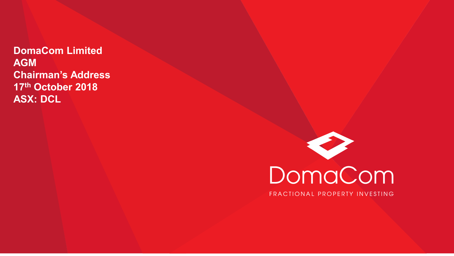**DomaCom Limited AGM Chairman's Address 17th October 2018 ASX: DCL**

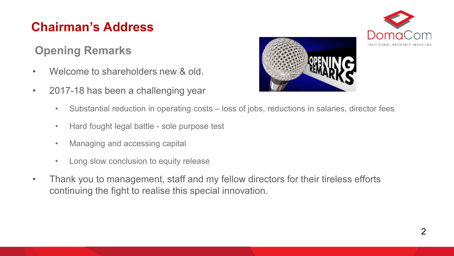#### **Opening Remarks**

- Welcome to shareholders new & old.
- 2017-18 has been a challenging year





- Substantial reduction in operating costs loss of jobs, reductions in salaries, director fees
- Hard fought legal battle sole purpose test
- Managing and accessing capital
- Long slow conclusion to equity release
- Thank you to management, staff and my fellow directors for their tireless efforts continuing the fight to realise this special innovation.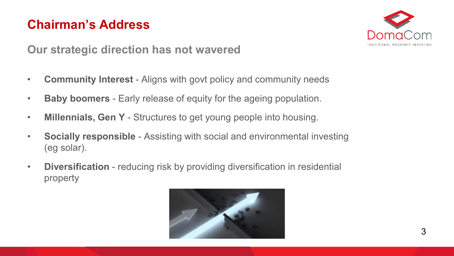

**Our strategic direction has not wavered**

- **Community Interest**  Aligns with govt policy and community needs
- **Baby boomers**  Early release of equity for the ageing population.
- **Millennials, Gen Y**  Structures to get young people into housing.
- **Socially responsible**  Assisting with social and environmental investing (eg solar).
- **Diversification** reducing risk by providing diversification in residential property

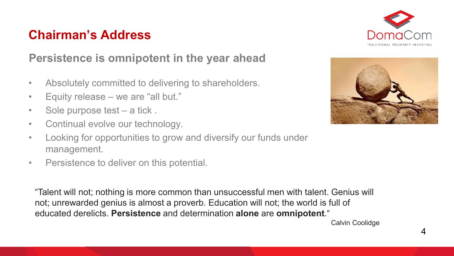

#### **Persistence is omnipotent in the year ahead**

- Absolutely committed to delivering to shareholders.
- Equity release we are "all but."
- Sole purpose test a tick.
- Continual evolve our technology.
- Looking for opportunities to grow and diversify our funds under management.
- Persistence to deliver on this potential.

"Talent will not; nothing is more common than unsuccessful men with talent. Genius will not; unrewarded genius is almost a proverb. Education will not; the world is full of educated derelicts. **Persistence** and determination **alone** are **omnipotent**."



Calvin Coolidge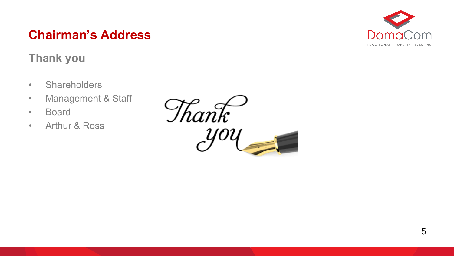#### **Thank you**

- Shareholders
- Management & Staff
- Board
- Arthur & Ross



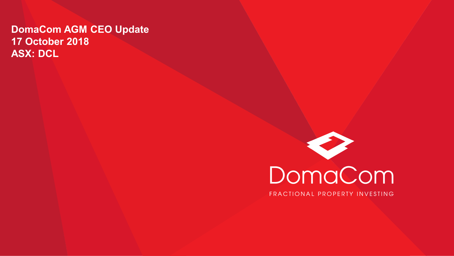#### **DomaCom AGM CEO Update 17 October 2018 ASX: DCL**



FRACTIONAL PROPERTY INVESTING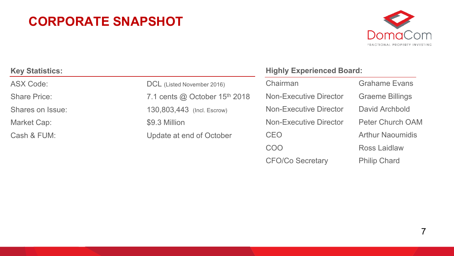#### **CORPORATE SNAPSHOT**



| <b>Key Statistics:</b> |                                                  | <b>Highly Experienced Board:</b> |                        |
|------------------------|--------------------------------------------------|----------------------------------|------------------------|
| <b>ASX Code:</b>       | DCL (Listed November 2016)                       | Chairman                         | <b>Grahame Evans</b>   |
| <b>Share Price:</b>    | 7.1 cents $\omega$ October 15 <sup>th</sup> 2018 | <b>Non-Executive Director</b>    | <b>Graeme Billings</b> |
| Shares on Issue:       | 130,803,443 (Incl. Escrow)                       | <b>Non-Executive Director</b>    | David Archbold         |
| Market Cap:            | \$9.3 Million                                    | <b>Non-Executive Director</b>    | Peter Church O/        |
| Cash & FUM:            | Update at end of October                         | <b>CEO</b>                       | <b>Arthur Naoumidi</b> |
|                        |                                                  | $\hat{z}$                        |                        |

COO Ross Laidlaw CFO/Co Secretary Philip Chard

lings ch OAM umidis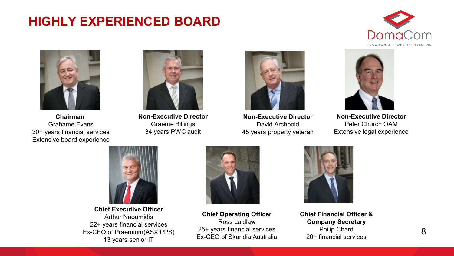#### **HIGHLY EXPERIENCED BOARD**





**Chairman**  Grahame Evans 30+ years financial services Extensive board experience



**Non-Executive Director** Graeme Billings 34 years PWC audit



**Non-Executive Director** David Archbold 45 years property veteran



**Non-Executive Director** Peter Church OAM Extensive legal experience



**Chief Executive Officer** Arthur Naoumidis 22+ years financial services Ex-CEO of Praemium(ASX:PPS) 13 years senior IT



**Chief Operating Officer** Ross Laidlaw 25+ years financial services Ex-CEO of Skandia Australia



**Chief Financial Officer & Company Secretary** Philip Chard 20+ financial services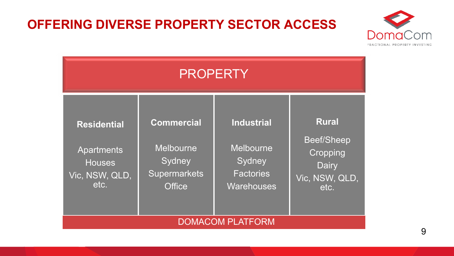#### **OFFERING DIVERSE PROPERTY SECTOR ACCESS**



| <b>PROPERTY</b>                                                             |                                                                                         |                                                                            |                                                                                         |  |  |
|-----------------------------------------------------------------------------|-----------------------------------------------------------------------------------------|----------------------------------------------------------------------------|-----------------------------------------------------------------------------------------|--|--|
| <b>Residential</b><br>Apartments<br><b>Houses</b><br>Vic, NSW, QLD,<br>etc. | <b>Commercial</b><br><b>Melbourne</b><br>Sydney<br><b>Supermarkets</b><br><b>Office</b> | <b>Industrial</b><br>Melbourne<br>Sydney<br><b>Factories</b><br>Warehouses | <b>Rural</b><br><b>Beef/Sheep</b><br><b>Cropping</b><br>Dairy<br>Vic, NSW, QLD,<br>etc. |  |  |
| <b>DOMACOM PLATFORM</b>                                                     |                                                                                         |                                                                            |                                                                                         |  |  |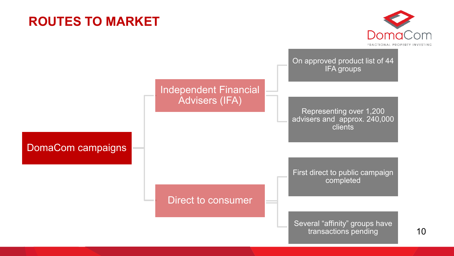#### **ROUTES TO MARKET**



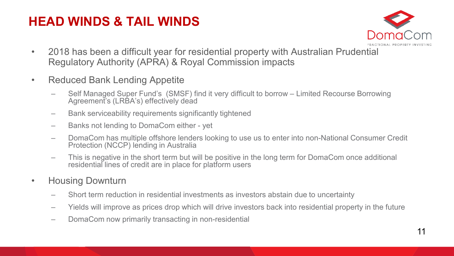#### **HEAD WINDS & TAIL WINDS**



- 2018 has been a difficult year for residential property with Australian Prudential Regulatory Authority (APRA) & Royal Commission impacts
- Reduced Bank Lending Appetite
	- Self Managed Super Fund's (SMSF) find it very difficult to borrow Limited Recourse Borrowing Agreement's (LRBA's) effectively dead
	- Bank serviceability requirements significantly tightened
	- Banks not lending to DomaCom either yet
	- DomaCom has multiple offshore lenders looking to use us to enter into non-National Consumer Credit Protection (NCCP) lending in Australia
	- This is negative in the short term but will be positive in the long term for DomaCom once additional residential lines of credit are in place for platform users
- Housing Downturn
	- Short term reduction in residential investments as investors abstain due to uncertainty
	- Yields will improve as prices drop which will drive investors back into residential property in the future
	- DomaCom now primarily transacting in non-residential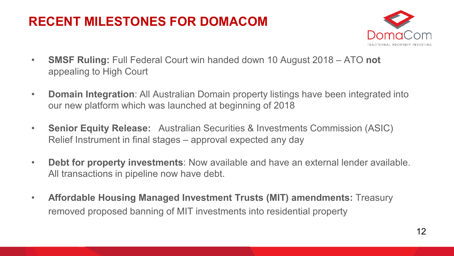## **RECENT MILESTONES FOR DOMACOM**



- **SMSF Ruling:** Full Federal Court win handed down 10 August 2018 ATO **not** appealing to High Court
- **Domain Integration**: All Australian Domain property listings have been integrated into our new platform which was launched at beginning of 2018
- **Senior Equity Release:** Australian Securities & Investments Commission (ASIC) Relief Instrument in final stages – approval expected any day
- **Debt for property investments**: Now available and have an external lender available. All transactions in pipeline now have debt.
- **Affordable Housing Managed Investment Trusts (MIT) amendments:** Treasury removed proposed banning of MIT investments into residential property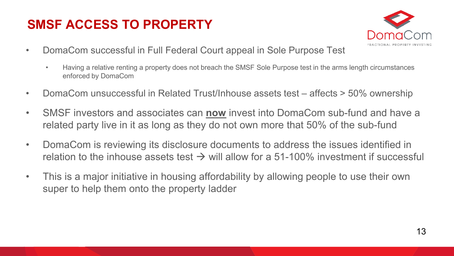#### **SMSF ACCESS TO PROPERTY**



- DomaCom successful in Full Federal Court appeal in Sole Purpose Test
	- Having a relative renting a property does not breach the SMSF Sole Purpose test in the arms length circumstances enforced by DomaCom
- DomaCom unsuccessful in Related Trust/Inhouse assets test affects > 50% ownership
- SMSF investors and associates can **now** invest into DomaCom sub-fund and have a related party live in it as long as they do not own more that 50% of the sub-fund
- DomaCom is reviewing its disclosure documents to address the issues identified in relation to the inhouse assets test  $\rightarrow$  will allow for a 51-100% investment if successful
- This is a major initiative in housing affordability by allowing people to use their own super to help them onto the property ladder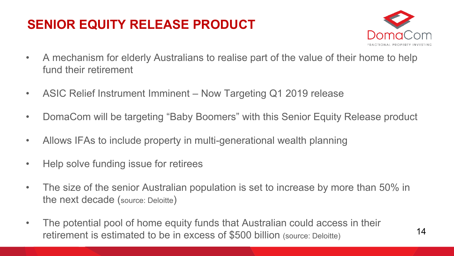## **SENIOR EQUITY RELEASE PRODUCT**



- A mechanism for elderly Australians to realise part of the value of their home to help fund their retirement
- ASIC Relief Instrument Imminent Now Targeting Q1 2019 release
- DomaCom will be targeting "Baby Boomers" with this Senior Equity Release product
- Allows IFAs to include property in multi-generational wealth planning
- Help solve funding issue for retirees
- The size of the senior Australian population is set to increase by more than 50% in the next decade (source: Deloitte)
- The potential pool of home equity funds that Australian could access in their retirement is estimated to be in excess of \$500 billion (source: Deloitte)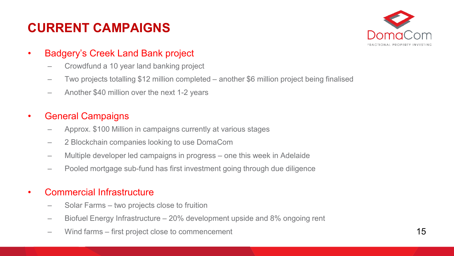## **CURRENT CAMPAIGNS**



- Badgery's Creek Land Bank project
	- Crowdfund a 10 year land banking project
	- Two projects totalling \$12 million completed another \$6 million project being finalised
	- Another \$40 million over the next 1-2 years

#### • General Campaigns

- Approx. \$100 Million in campaigns currently at various stages
- 2 Blockchain companies looking to use DomaCom
- Multiple developer led campaigns in progress one this week in Adelaide
- Pooled mortgage sub-fund has first investment going through due diligence

#### • Commercial Infrastructure

- Solar Farms two projects close to fruition
- Biofuel Energy Infrastructure 20% development upside and 8% ongoing rent
- Wind farms first project close to commencement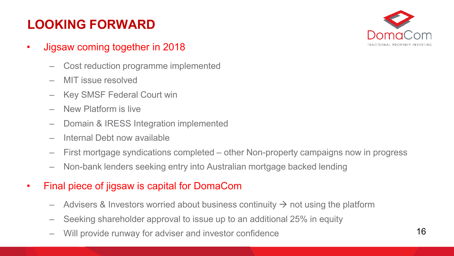## **LOOKING FORWARD**



- Jigsaw coming together in 2018
	- Cost reduction programme implemented
	- MIT issue resolved
	- Key SMSF Federal Court win
	- New Platform is live
	- Domain & IRESS Integration implemented
	- Internal Debt now available
	- First mortgage syndications completed other Non-property campaigns now in progress
	- Non-bank lenders seeking entry into Australian mortgage backed lending
- Final piece of jigsaw is capital for DomaCom
	- Advisers & Investors worried about business continuity  $\rightarrow$  not using the platform
	- Seeking shareholder approval to issue up to an additional 25% in equity
	- Will provide runway for adviser and investor confidence